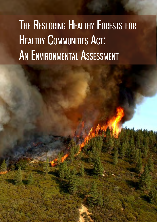# HEALTHY COMMUNITIES ACT: THE RESTORING HEALTHY FORESTS FOR AN ENVIRONMENTAL ASSESSMENT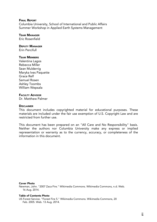#### FINAL REPORT

Columbia University, School of International and Public Affairs Summer Workshop in Applied Earth Systems Management

#### TEAM MANAGER

Eric Rosenfield

#### DEPUTY MANAGER

Erin Percifull

#### **TEAM MEMBERS**

Valentina Lagos Rebecca Miller Sean Mulderrig Maryka Ives Paquette Grace Relf Samuel Rosen Ashley Toombs William Wepsala

#### FACULTY ADVISOR

Dr. Matthew Palmer

#### **DISCLAIMER**

This document includes copyrighted material for educational purposes. These materials are included under the fair use exemption of U.S. Copyright Law and are restricted from further use.

This document has been prepared on an "All Care and No Responsibility" basis. Neither the authors nor Columbia University make any express or implied representation or warranty as to the currency, accuracy, or completeness of the information in this document.

#### Cover Photo

Newman, John. "2007 Zaca Fire." Wikimedia Commons. Wikimedia Commons, n.d. Web. 16 Aug. 2014.

#### Table of Contents Photo

US Forest Service. "Forest Fire 5." Wikimedia Commons. Wikimedia Commons, 20 Feb. 2005. Web. 13 Aug. 2014.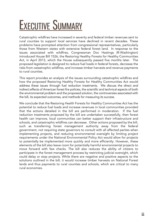# EXECUTIVE SUMMARY

Catastrophic wildfires have increased in severity and federal timber revenues sent to rural counties to support local services have declined in recent decades. These problems have prompted attention from congressional representatives, particularly those from Western states with extensive federal forest land. In response to the issues associated with wildfires, Congressman Doc Hastings (R-Washington) introduced House Bill 1526, the Restoring Healthy Forests for Healthy Communities Act, in April 2013, which the House subsequently passed five months later. The proposed legislation is designed to reduce fuel loads in federal forests, decrease the risks from catastrophic wildfires, and increase timber harvests and revenue payments to rural counties.

This report provides an analysis of the issues surrounding catastrophic wildfires and how the proposed Restoring Healthy Forests for Healthy Communities Act would address these issues through fuel reduction treatments. We discuss the direct and indirect effects of American forest fire policies, the scientific and technical aspects of both the environmental problem and the proposed solution, the controversies associated with the bill, its expected outcomes, and methods for measuring its success.

We conclude that the Restoring Health Forests for Healthy Communities Act has the potential to reduce fuel loads and increase revenues in local communities provided that the actions detailed in the bill are performed in moderation. If the fuel reduction treatments proposed by the bill are undertaken successfully, then forest health can improve, local communities can better support their infrastructure and schools, and catastrophic wildfires can decrease. Other actions proposed by the bill, such as transferring forest management authority away from the federal government, not requiring state governors to consult with all affected parties when implementing projects, and reducing environmental oversight by limiting project requirements under the National Environmental Policy Act would allow for projects to potentially be implemented more quickly and more efficiently. However, these elements of the bill also leave room for potentially harmful environmental projects to move forward with few checks. The bill also reduces the ability of citizens to participate in the forest management process by restricting judicial oversight, which could delay or stop projects. While there are negative and positive aspects to the solutions outlined in the bill, it would increase timber harvests on National Forest lands and thus payments to rural counties and schools, which are critical to many rural economies.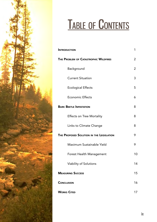

# TABLE OF CONTENTS

| <b>INTRODUCTION</b>                      | 1  |
|------------------------------------------|----|
| THE PROBLEM OF CATASTROPHIC WILDFIRES    | 2  |
| Background                               | 2  |
| <b>Current Situation</b>                 | 3  |
| <b>Ecological Effects</b>                | 5  |
| <b>Economic Effects</b>                  | 6  |
| <b>BARK BEETLE INFESTATION</b>           | 8  |
| <b>Effects on Tree Mortality</b>         | 8  |
| Links to Climate Change                  | 8  |
| THE PROPOSED SOLUTION IN THE LEGISLATION | 9  |
| Maximum Sustainable Yield                | 9  |
| Forest Health Management                 | 10 |
| Viability of Solutions                   | 14 |
| <b>MEASURING SUCCESS</b>                 | 15 |
| <b>CONCLUSION</b>                        | 16 |
| <b>WORKS CITED</b>                       | 17 |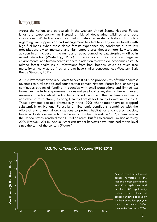### <span id="page-4-0"></span>**INTRODUCTION**

Across the nation, and particularly in the western United States, National Forest lands are experiencing an increasing risk of devastating wildfires and pest infestations. While fire is a critical part of natural ecosystems, historic U.S. policy regarding fire suppression and management has led to overly dense forests with high fuel loads. When these dense forests experience dry conditions due to low precipitation, low soil moisture, and high temperatures, they are more likely to burn, as seen in an increase in the number of acres burned by catastrophic wildfires in recent decades (Westerling, 2006). Catastrophic fires produce negative environmental and human health impacts in addition to extensive economic costs. A related forest health issue, infestations from bark beetles, cause as much tree mortality annually as do fires, and can have similar consequences (Western Bark Beetle Strategy, 2011).

A 1908 law required the U.S. Forest Service (USFS) to provide 25% of timber harvest revenues to rural schools and counties that contain National Forest land, ensuring a continuous stream of funding in counties with small populations and limited tax bases. As the federal government does not pay local taxes, sharing timber harvest revenues provides critical funding for public education and the maintenance of roads and other infrastructure (Restoring Healthy Forests for Healthy Communitites, n.d.). These payments declined dramatically in the 1990s when timber harvests dropped substantially on National Forest land. Economic conditions, combined with the effort of environmental organizations to protect habitat for endangered species, forced a drastic decline in timber harvests. Timber harvests in 1987, a peak year in the United States, reached over 12 million acres, but fell to around 2 million acres by 2000 (Fretwell, 2014). Annual American timber harvests have remained at this level since the turn of the century (Figure 1).



FIGURE 1. The total volume of timber harvested in the National Forest System from 1980-2013. Legislation enacted in the 1987 significantly reduced the volume of timber harvested to roughly 2 billion board feet per year since the early 2000s (Headwater Economics, 2014).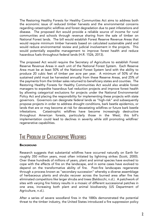<span id="page-5-0"></span>The Restoring Healthy Forests for Healthy Communities Act aims to address both the economic issue of reduced timber harvests and the environmental concerns regarding catastrophic wildfires and forest degradation due to pest infestations and disease. The proposed Act would provide a reliable source of income for rural communities and schools through revenue sharing from the sale of timber on National Forest lands. The bill would establish Forest Reserve Revenue Areas that would require minimum timber harvests based on calculated sustainable yield and would reduce environmental review and judicial involvement in the projects. This would potentially expedite management to improve forest health and reduce hazardous fuels throughout federal lands (H.R. 1526, 2013).

The proposed Act would require the Secretary of Agriculture to establish Forest Reserve Revenue Areas in each unit of the National Forest System. Each Reserve Area must be at least 50% of the National Forest System land with the ability to produce 20 cubic feet of timber per acre per year. A minimum of 50% of the sustained yield must be harvested annually from these Reserve Areas, and 25% of the payments from the timber sales returned to beneficiary states and counties. The Restoring Healthy Forests for Healthy Communities Act would also enable forest managers to expedite hazardous fuel reduction projects and improve forest health by allowing categorical exclusions for projects under the National Environmental Policy Act and placing the responsibility for implementing these projects with state governors. Governors can designate federal lands as "high-risk" and subsequently propose projects in order to address drought conditions, bark beetle epidemics, or lands that are or may become at risk for devastating wildfires or future bark beetle infestations. Catastrophic wildfires have become increasingly destructive throughout American forests, particularly those in the West; this bill's implementation could lead to declines in severity while still promoting wildfires' regenerative capabilities.

## THE PROBLEM OF CATASTROPHIC WILDFIRES

#### **BACKGROUND**

Research suggests that substantial wildfires have occurred naturally on Earth for roughly 350 million years, most often initiated by lightning strikes (Scott, 2000). Over these hundreds of millions of years, plant and animal species have evolved to cope with the effects of fire on the landscape, and in some cases have evolved to depend on the transformative ability of fire. Post-fire landscapes regenerate through a process known as "secondary succession" whereby a diverse assemblage of herbaceous plants and shrubs recover across the burned area after fire has eliminated competitors like larger shrubs and trees (Baldocchi, n.d.). A patchwork of sites with varying fire history results in a mosaic of different successional patches in one area, increasing both plant and animal biodiversity (US Department of Agriculture, n.d.).

After a series of severe woodland fires in the 1880s demonstrated the potential threat to the timber industry, the United States introduced a fire suppression policy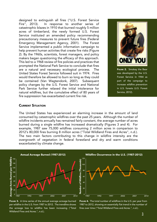<span id="page-6-0"></span>designed to extinguish all fires ("U.S. Forest Service Fire", 2013). In response to another series of catastrophic blazes in 1910 that burned roughly 5 million acres of timberland, the newly formed U.S. Forest Service instituted an amended policy recommending precautionary measures to prevent future fires (Federal Emergency Management Agency, 2001). The Forest Service implemented a public information campaign to help prevent human activites that create fire risks (Figure 2). By the 1960s, scientists, forest managers, and policy makers began questioning the efficacy of this approach. This led to a 1968 review of fire policies and practices that prompted the National Park Service to conclude that fires are a natural and necessary ecological process. The United States Forest Service followed suit in 1974. Fires would therefore be allowed to burn so long as they could be contained (Van Wagtendonk, 2007). Subsequent policy changes by the U.S. Forest Service and National Park Service further relaxed the initial intolerance for natural wildfires, but the cumulative effect of 80 years of fire suppression has exacerbated current fire risk.



FIGURE 2. Smokey the Bear was developed by the U.S. Forest Service in 1944 as part of the campaign to increase wildfire prevention in U.S. forests (U.S. Forest Service, 2012).

#### CURRENT SITUATION

The United States has experienced an alarming increase in the amount of land consumed by catastrophic wildfires over the past 25 years. Although the number of wildfire incidents annually has remained fairly constant, the average number of acres burned during a single wildfire has increased dramatically (Figures 3 and 4). For example, 1987 saw 75,000 wildfires consuming 2 million acres in comparison to 2012's 80,000 fires burning 8 million acres ("Total Wildland Fires and Acres", n.d.). The two main factors contributing to this change in wildfire intensity are the overgrowth of vegetation in federal forestland and dry and warm conditions exacerbated by climate change.







FIGURE 4. The total number of wildfires in the U.S. per year from 1987 to 2012, showing an essentially flat trend in the number of fires over time ("Total Wildland Fires and Acres.", n.d.).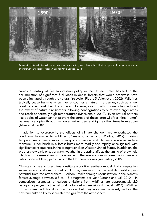

FIGURE 5. This side by side comparison of a sequoia grove shows the effects of years of fire prevention on overgrowth in federal forests (National Parks Service, 2014).

Nearly a century of fire suppression policy in the United States has led to the accumulation of significant fuel loads in dense forests that would otherwise have been eliminated through the natural fire cycle ( Figure 5; Allen et al., 2002). Wildfires typically cease burning when they encounter a natural fire barrier, such as a fuel break, and exhaust their fuel source. However, overgrowth in forests has reduced the extent of natural fire barriers, allowing conflagrations to burn over larger areas and reach abnormally high temperatures (MacDonald, 2010). Even natural barriers like bodies of water cannot prevent the spread of these large wildfires; fires "jump" between canopies through wind-carried embers and ignite other trees from above (Allen et al., 2002).

In addition to overgrowth, the effects of climate change have exacerbated the conditions favorable to wildfires (Climate Change and Wildfire, 2012). Rising temperatures increase rates of evapotranspiration and decrease available surface moisture. Drier brush in a forest burns more readily and rapidly once ignited, with significant consequences in the drought-stricken Western United States. In addition, the progressively early onset of warm weather in the spring affects the timing of snowmelt, which in turn causes streams to dry earlier in the year and can increase the incidence of catastrophic wildfires, particularly in the Northern Rockies (Westerling, 2006).

Climate change and forest fires constitute a positive feedback model. Living vegetation serves as a crucial sink for carbon dioxide, removing the gas and its heat-trapping potential from the atmosphere. Carbon uptake through sequestration in the planet's forests average between 0.3 to 1.3 petagrams per year (Lorenz and Lal, 2010). In comparison, estimates of carbon emissions from wildfires are approximately 2.0 petagrams per year, a third of total global carbon emissions (Liu et al., 2014). Wildfires not only emit additional carbon dioxide, but they also simultaneously reduce the environment's ability to sequester this gas from the atmosphere.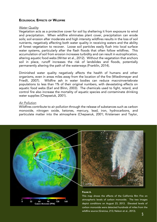#### <span id="page-8-0"></span>ECOLOGICAL EFFECTS OF WILDFIRE

#### *Water Quality*

Vegetation acts as a protective cover for soil by sheltering it from exposure to wind and precipitation. When wildfire eliminates plant cover, precipitation can erode soils; soil erosion after moderate and high intensity wildfires results in the loss of soil nutrients, negatively affecting both water quality in receiving waters and the ability of forest vegetation to recover. Loose soil particles easily flush into local surface water systems, particularly after the flash floods that often follow wildfires. This accumulation of soil from erosion increases turbidity and can result in eutrophication, altering aquatic food webs (Writer et al., 2012). Without the vegetation that anchors soil in place, runoff increases the risk of landslides and floods, potentially permanently altering the path of the waterways (Franklin, 2014).

Diminished water quality negatively affects the health of humans and other organisms, even in areas miles away from the location of the fire (Wiedinmeyer and Friedli, 2007). Wildfire ash in water bodies can reduce macroinvertebrate populations to less than 1% of their original numbers, with devastating effects on aquatic food webs (Earl and Blinn, 2003). The chemicals used to fight, retard, and control fire also increase the mortality of aquatic species and contaminate drinking water supplies (Chepseiuk, 2001).

#### *Air Pollution*

Wildfires contribute to air pollution through the release of substances such as carbon monoxide, nitrogen oxide, ketones, mercury, lead, iron, hydrocarbons, and particulate matter into the atmosphere (Chepseiuk, 2001; Kristensen and Taylor,





#### FIGURE 6.

This map shows the effects of the California Rim Fire on atmospheric levels of carbon monoxide. The two images depict conditions on August 23, 2013. Elevated levels of carbon monoxide were detected hundreds of miles from the wildfire source (Greicius, 213; Nelson et al., 2013).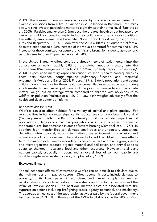2012). The release of these materials can spread by wind across vast expanses. For example, emissions from a fire in Quebec in 2002 landed in Baltimore, 955 miles away, raising levels of particulate matter to eight times their normal level (Sapkota et al., 2005). Particles smaller than 2.5µm pose the greatest health threat because they can enter buildings, contributing to indoor air pollution and respiratory conditions like asthma, emphysema, and bronchitis ("How Forest Fires Affect", n.d.; "Forest Fires and Respiratory", 2014). Soon after the 2003 wildfires in Southern California, hospitals experienced a 26% increase of individuals admitted for asthma and a 48% increase for those admitted for acute bronchitis and bronchiolitis due to atmospheric particles smaller than 2.5µm (Delfino et al., 2003).

In the United States, wildfires contribute about 44 tons of toxic mercury into the atmosphere annually, roughly 0.8% of the global input of mercury into the atmosphere (Wiedinmyer and Friedli, 2007; "Mercury Study Report to Congress," 2014). Exposure to mercury vapor can cause such serious health consequences as chest pain, dyspnea, cough-impaired pulmonary function, and interstitial pneumonitis (Veiga and Baker, 2004; Friberg, 1991). Elderly populations and young children are at most risk for these health concerns. Babies exposed in utero during any trimester to wildfire air pollution, including carbon monoxide and particulate matter, weigh less on average when compared to children with no exposure to wildfire air pollution (Holstius et al., 2012). Low birth weights adversely affect the health and development of infants.

#### *Repercussions for Biota*

Wildfires can also affect habitats for a variety of animal and plant species. For example fires in home ranges significantly reduce levels of black bear cub survival (Cunningham and Ballard, 2004). The intensity of wildfire can also impact animal populations. Herbivorous mammal populations in Arizona increased in areas of moderate burns, but decreased in areas of severe burning (Campbell et al., 1977). In addition, high intensity fires can damage small trees and understory vegetation, depleting nutrient capital, reducing infiltration of water, increasing soil erosion, and ultimately producing a decline in habitat quality for wildlife. Most of these effects tend to diminish over time as secondary succession occurs and plants grow, insects and microorganisms produce organic material and soil cover, and animal species adapt to changes in available food and other resources. However, total plant nutrient capital, especially nitrogen, and an overall loss of soil permeability are notable long-term ecosystem losses (Campbell et al., 1977).

#### ECONOMIC EFFECTS

The full economic effects of catastrophic wildfire can be difficult to calculate due to the high number of impacted sectors. Direct economic costs include damage to property, utility lines, parks, infrastructure, and timber supply, as well as rehabilitation costs such as restoring watersheds and combating erosion and the influx of invasive species. The best-documented costs are associated with fire suppression actions including firefighting crews, agency personnel, and machinery. The average annual cost of fire suppression activities paid by the federal government has risen from \$453 million throughout the 1990s to \$1.4 billion in the 2000s. Most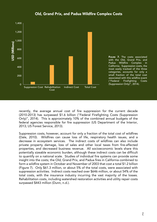<span id="page-10-0"></span>

#### Old, Grand Prix, and Padua Wildfire Complex Costs

FIGURE 7. The costs associated with the Old, Grand Prix, and Padua Wildfire Complex in California. Suppression costs, the most easily tracked of the three categories, accounts for only a small fraction of the total cost associated with this wildfire event ("Federal Firefighting Costs (Suppression Only)", 2014).

recently, the average annual cost of fire suppression for the current decade (2010-2013) has surpassed \$1.6 billion ("Federal Firefighting Costs (Suppression Only)", 2014). This is approximately 10% of the combined annual budgets of the federal agencies responsible for fire suppression (US Department of the Interior, 2013; US Forest Service, 2013).

Suppression costs, however, account for only a fraction of the total cost of wildfires (Dale, 2010). Wildfires can cause loss of life, respiratory health issues, and a decrease in ecosystem services. The indirect costs of wildfires can also include private property damage, loss of sales and other local taxes from fire-affected properties, and decreased business revenue. All socioeconomic levels share this potentially sizeable economic burden, although these indirect costs can be difficult to quantify on a national scale. Studies of individual fire systems can provide some insight into the costs; the Old, Grand Prix, and Padua fires in California combined to form a wildfire system in October and November of 2003 that cost a total \$1.2 billion (Figure 7). Only \$61.3 million, or about 5% of the total costs, were associated with suppression activities. Indirect costs reached over \$646 million, or about 54% of the total costs, with the insurance industry incurring the vast majority of the losses. Rehabilitation costs, including watershed restoration activities and utility repair costs surpassed \$443 million (Dunn, n.d.).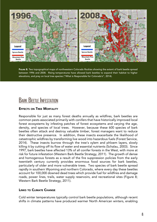<span id="page-11-0"></span>

FIGURE 8. Two topographical maps of northwestern Colorado Rockies showing the extent of bark beetle spread between 1996 and 2008. Rising temperatures have allowed bark beetles to expand their habitat to higher elevations, and prey on local tree species ("What is Responsible for Colorado's", 2014).

### **BARK BEETLE INFESTATION**

#### EFFECTS ON TREE MORTALITY

Responsible for just as many forest deaths annually as wildfires, bark beetles are common pests associated primarily with conifers that have historically improved local forest ecosystems by infesting patches of forest ecosystems and varying the age, density, and species of local trees. However, because these 600 species of bark beetles often attack and destroy valuable timber, forest managers want to reduce their destructive presence. In addition, these insects exacerbate the likelihood of catastrophic wildfires by transforming live wood into hazardous fuels (Forest Service, 2014). These insects burrow through the tree's xylem and phloem layers, slowly killing it by cutting off its flow of water and essential nutrients (Schalau, 2003). Since 1997, bark beetles have affected 13% of all conifer forests in the West, with more at risk for future infestation (Western Bark Beetle Strategy, 2011). The growth of dense and homogenous forests as a result of the fire suppression policies from the early twentieth century currently provides enormous food sources for bark beetles, particularly of older and more vulnerable trees. Two species of bark beetle spread rapidly in southern Wyoming and northern Colorado, where every day these beetles account for 100,000 downed dead trees which provide fuel for wildfires and damage roads, power lines, trails, water supply reservoirs, and recreational sites (Figure 8; Western Bark Beetle Strategy, 2011).

#### LINKS TO CLIMATE CHANGE

Cold winter temperatures typically control bark beetle populations, although recent shifts in climate patterns have produced warmer North American winters, enabling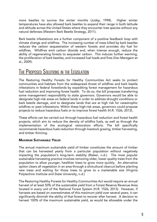<span id="page-12-0"></span>more beetles to survive the winter months (Juday, 1998). Higher winter temperatures have also allowed bark beetles to expand their range in both latitude and altitude across the United States where they encounter tree species without any natural defenses (Western Bark Beetle Strategy, 2011).

Bark beetle infestations are a further component of a positive feedback loop with climate change and wildfires. The increasing number of trees killed by bark beetles reduces the carbon sequestration of western forests and provides dry fuel for wildfires. Wildfires emit carbon dioxide and, when intense enough, reduce the ability of regenerating forests to sequester carbon. This induces further warming, the proliferation of bark beetles, and increased fuel loads and fires (Van Mantgem et al., 2009).

## THE PROPOSED SOLUTIONS IN THE LEGISLATION

The Restoring Healthy Forests for Healthy Communities Act seeks to protect communities and habitats from the widespread threat of wildfires and bark beetle infestations in federal forestlands by expediting forest management for hazardous fuel reduction and improving forest health. To do so, the bill proposes transferring some management responsibility to state governors. Governors would be able to designate high-risk areas on federal lands in order to address drought conditions or bark beetle damage, and to designate lands that are at high risk for catastrophic wildfires or pest infestations. Within these high-risk areas, governors could propose projects to reduce hazardous fuels or to improve forest health (H.R. 1526, 2013).

These efforts can be carried out through hazardous fuel reduction and forest health projects, which aim to reduce the density of wildfire fuels, as well as through the implementation of the ecological restoration efforts. The bill specifically recommends hazardous fuels reduction through livestock grazing, timber harvesting, and timber thinning.

#### MAXIMUM SUSTAINABLE YIELDS

The annual maximum sustainable yield of timber constitutes the amount of timber that can be harvested yearly from a particular population without negatively impacting the population's long-term stability (Rieker, n.d.). The most popular sustainable harvesting practice involves removing older, lower-quality trees from the population to allow younger, healthier trees to grow more quickly. An alternative option clears all vegetation in an area through a silvicultural clearcut before planting new trees and waiting for those trees to grow to a marketable size (Virginia Polytechnic Institute and State University, n.d.)

The Restoring Healthy Forests for Healthy Communities Act would require an annual harvest of at least 50% of the sustainable yield from a Forest Reserve Revenue Area located in every unit of the National Forest System (H.R. 1526, 2013). However, if harvests are based on overestimates of this maximum yield over several years, it can significantly diminish the ability of that forest to recover after harvest. A decision to harvest 100% of the maximum sustainable yield, as would be allowable under the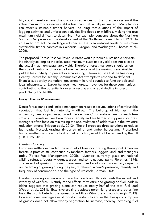<span id="page-13-0"></span>bill, could therefore have disastrous consequences for the forest ecosystem if the actual maximum sustainable yield is less than that initially estimated. Many factors can affect sustainable timber harvest, including recalculations of the impact of logging activities and unforeseen activities like floods or wildfires, making the true maximum yield difficult to determine. For example, concerns about the Northern Spotted Owl prompted the development of the Northwest Forest Plan of 1994. In an aim to protect the endangered species, the plan reduced levels of maximum sustainable timber harvests in California, Oregon, and Washington (Thomas et al., 2006).

The proposed Forest Reserve Revenue Areas would produce sustainable harvests indefinitely so long as the calculated maximum sustainable yield does not exceed the actual maximum sustainable yield. Therefore, forest managers should err on the side of caution and harvest a lower percentage of the maximum sustainable yield at least initially to prevent overharvesting. However, Title I of the Restoring Healthy Forests for Healthy Communities Act attempts to respond to deficient financial support by the federal government in rural counties to fund schools and local infrastructure. Larger harvests mean greater revenues for these communities, contributing to the potential for overharvesting and a rapid decline in forest productivity and health.

#### FOREST HEALTH MANAGEMENT

Dense forest stands and limited management result in accumulations of combustible vegetation that fuel high-intensity wildfires. The build-up of biomass in the understory creates pathways, called "ladder fuels," for surface fires to reach tree crowns. Crown-level fires burn more intensely and are harder to suppress, so forest managers often focus on minimizing the accumulation of ladder fuels in their wildfire reduction efforts (Evlagon et al., 2012). The bill proposes three solutions to reduce fuel loads: livestock grazing, timber thinning, and timber harvesting. Prescribed burns, another common method of fuel reduction, would not be required by the bill (H.R. 1526, 2013).

#### *Livestock Grazing*

European settlers expanded the amount of livestock grazing throughout American forests, a practice still continued by ranchers, farmers, loggers, and land managers today (Forest Fuel Management, 2005). Livestock currently graze on national wildfire refuges, federal wilderness areas, and some national parks (Fleishner, 1994). The impact of grazing on forest management and ecological productivity depends on the timing of grazing during the year, duration of a herd's presence, intensity and frequency of consumption, and the type of livestock (Borman, 2005).

Livestock grazing can reduce surface fuel loads and thus diminish the extent and intensity of wildfires. A study of the effects of wildfire and grazing on fuel loads in Idaho suggests that grazing alone can reduce nearly half of the total fuel load (Weber et al., 2011). Extensive grazing depletes perennial grasses and other fine fuels that contribute to the spread of wildfires (Strand and Launchbaugh, 2013). However, forest managers must monitor livestock to ensure that heavy consumption of grasses does not allow woody vegetation to increase, thereby increasing fuel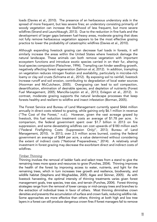loads (Davies et al., 2010). The presence of an herbaceous understory aids in the spread of more frequent, but less severe fires; an understory consisting primarily of woody vegetation can increase the likelihood of less frequent, but more severe wildfires (Strand and Launchbaugh, 2013). Due to the reduction in fine fuels and the development of larger gaps between fuel-heavy areas, moderate grazing that does not fully remove herbaceous vegetation appears to be the most effective grazing practice to lower the probability of catastrophic wildfires (Davies et al., 2010).

Although expanding livestock grazing can decrease fuel loads in forests, it will similarly increase the areas within the United States where livestock damage the natural landscape. These animals can both remove vegetation with important ecosystem functions and introduce exotic species carried in on their fur, altering local species composition (Fleischner, 1994). Trampling can hinder seedling growth, negatively affecting forest regeneration (Salmon et al, 2012). In addition, trampling on vegetation reduces nitrogen fixation and availability, particularly in microbe-rich loamy or clay soil crusts (Schrama et al., 2012). By exposing soil to rainfall, livestock increase runoff and soil erosion, contributing to degradation of local water sources (Hoorman and McCutcheon, 2005). Overgrazing can lead to soil compaction, desertification, elimination of desirable species, and depletion of nutrients (Forest Fuel Management, 2005; Mancilla-Leytón et al., 2013; Evlagon et al., 2012). In contrast, moderate grazing supports the natural landscape processes that keep forests healthy and resilient to wildfire and insect infestation (Borman, 2005).

The Forest Service and Bureau of Land Management currently spend \$466 million annually in direct costs related to grazing, while gaining only \$6.1 million in revenue ("The Cost of the Forest," n.d.). However, given the vast acreage grazed by livestock, this fuel reduction treatment costs an average of \$1.78 per acre. In comparison, the federal government spent over \$1.7 billion in 2013 on fire suppression, and some devastating wildfires can cost upwards of \$180 million each ("Federal Firefighting Costs (Suppression Only)", 2013; Bureau of Land Management, 2010). In 2013, over 2.5 million acres burned, costing the federal government an average of \$684 per acre, a value determined without considering the extent of indirect costs ("National Preparedness," 2014). A relatively small investment in forest grazing may decrease the exorbitant direct and indirect costs of wildfires.

#### *Timber Thinning*

Thinning involves the removal of ladder fuels and select trees from a stand to give the remaining trees more space and resources to grow (Punches, 2004). Thinning improves the health of the forest by improving access to water, nutrients, and light for the remaining trees, which in turn increases tree growth and resilience, biodiversity, and wildlife habitat (Stephens and Moghaddas, 2005; Agee and Skinner, 2005). As with livestock harvesting, the optimal intensity of thinning treatments varies given forest management goals, tree species, tree size, and terrain (Punches, 2004). Forest thinning strategies range from the removal of lower canopy or mid-canopy trees and branches to the extraction of individual trees in favor of others. Most thinning diminishes crown densities and prevents the accumulation of surface and crown fuels, reducing wildfire risk. Some approaches are more effective than others; thinning at both high and low tree layers in a forest can still produce dangerous crown fires if forest managers fail to remove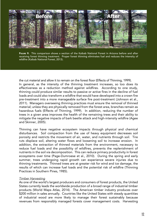

FIGURE 9. This comparison shows a section of the Kaibab National Forest in Arizona before and after receiving forest thinning treatment. Proper forest thinning eliminates fuel and reduces the intensity of wildfire (Kaibab National Forest, 2013).

the cut material and allow it to remain on the forest floor (Effects of Thinning, 1999). In general, as the intensity of the thinning treatment increases, so too does its effectiveness as a reduction method against wildfires. According to one study, thinning could produce similar results to passive or active fires in the decline of fuel loads and could also transform a wildfire that would have developed into a crown fire pre-treatment into a more manageable surface fire post-treatment (Johnson et al., 2011). Managers overseeing thinning practices must ensure the removal of thinned material; unless they are physically removed from the forest area, branches remain as hazardous fuels (Effects of Thinning, 1999). In addition, reducing the number of trees in a given area improves the health of the remaining trees and their ability to mitigate the negative impacts of bark beetle attack and high-intensity wildfire (Agee and Skinner, 2005).

Thinning can have negative ecosystem impacts through physical and chemical disturbances. Soil compaction from the use of heavy equipment decreases soil porosity and restricts the movement of air, water, and nutrients through soil. Tire ruts displace soil, altering water flows and loosening soil to increase erosion. In addition, the extraction of thinned materials from the environment, necessary to reduce fuel loads and the possibility of wildfires, prevents the replenishment of nutrients in the soil via decomposition. This can reduce primary productivity in forest ecosystems over time (Page-Dumroese et al., 2010). During the spring and early summer, trees undergoing rapid growth can experience severe injuries due to thinning treatments. Thinned trees are at greater risk for wind and ice damage, the results of which can increase fuel loads and the potential risk of wildfire (Thinning Practices in Southern Pines, 1985).

#### *Timber Harvesting*

As one of the world's largest producers and consumers of forest products, the United States currently leads the worldwide production of a broad range of industrial timber products (World Maps Atlas, 2014). The American timber industry produces over \$200 million in sales annually. Countries like the United States with steady quantities of industrial wood are more likely to manage their forest sustainably because revenues from responsibly managed forests cover management costs. Harvesting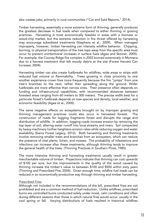also creates jobs, primarily in rural communities ("Cut and Sold Reports," 2014).

Timber harvesting, essentially a more extreme form of thinning, generally produces the greatest decrease in fuel loads when compared to either thinning or grazing practices. Harvesting is most economically feasible in areas with a biomass or wood-chip market, but the extreme reduction in fire threat offered by harvesting may encourage subsidized treatments (Stephens et al., 2009). When managed improperly, however, timber harvesting can intensity wildfire behavior. Chipping, burning, or physical transportation of the tree tops away from the specific area must occur to prevent unintentional increases in surface fuels (Agee and Skinner, 2005). For example, the Cooney Ridge fire complex in 2003 burned extensively in Montana due to a harvest treatment that left woody debris at the site (Forest Harvest Can Increase, 2004).

Harvesting timber can also create fuelbreaks for wildfires, wide areas or strips with reduced fuel volume or flammability. Trees growing in close proximity to one another experience crown fires more frequently because the fire "jumps" from one tree's branches to the next, rather than spreading along the ground. Wider fuelbreaks are more effective than narrow ones. Their presence often depends on funding and infrastructural capabilities, with recommended distances between forested areas ranging from 60 meters to 300 meters. The precise width best for a particular forest's fuelbreak depends on tree species and density, local weather, and economic feasibility (Agee et al., 2000).

The same negative effects on ecosystems brought on by improper grazing and thinning management practices could also occur in harvested forests. The construction of roads for logging fragments forest and disrupts the range and distribution of wildlife. In addition, logging roads increase erosion by removing the top layer of soil, altering water runoff into local streams and rivers. Soil compacted by heavy machinery further heightens erosion rates while reducing oxygen and water availability (Sierra Forest Legacy, 2012). Both harvesting and thinning treatments involve removing smaller trees and branches from an ecosystem, which can reduce the presence of vital plants, lichen, and mosses. The probability of infestations and infections can increase after these treatments, although thinning tends to improve the general health of the trees (Thinning Practices in Southern Pines, 1985).

The more intensive thinning and harvesting treatments usually result in greater merchantable volume of timber. Projections indicate that thinning can cost upwards of \$100 per acre, but the improvements in the quality of the wood caused by thinning increase the timber's value to between \$100 and \$500 within sixty years (Thinning and Prescribed Fire, 2004). Given enough time, wildfire fuel loads can be reduced in an economically productive way through thinning and timber harvesting.

#### *Prescribed Fires*

Although not included in the recommendations of the bill, prescribed fires are not prohibited and are a common method of fuel reduction. Unlike wildfires, prescribed burns are controlled burns conducted solely under moist, calm conditions and often during different seasons than those in which natural fires would occur, usually in the cool spring or fall. Varying distributions of fuels resulted in historical wildfires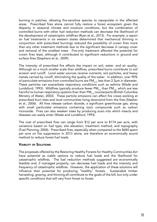<span id="page-17-0"></span>burning in patches, allowing fire-sensitive species to repopulate in the affected areas. Prescribed fires alone cannot fully restore a forest ecosystem given the disparity in seasonal climate and moisture conditions, but the combination of controlled burns with other fuel reduction methods can decrease the likelihood of the development of catastrophic wildfires (Ryan et al., 2013). For example, a report on fuel treatments in six western states determined that mechanical thinning in conjunction with prescribed burnings reduced the possibility of crown fires more than any other treatment methods due to the significant decrease in canopy cover and removal of the smallest trees. Fire-only treatment affected the potential for crown fires least, although it contributed to significant reductions in ground and surface fires (Stephens et al., 2009).

The intensity of prescribed fire affects the impact on soil, water, and air quality. Although on a much smaller scale than wildfires, prescribed burns contribute to soil erosion and runoff. Local water sources receive nutrients, soil particles, and heavy metals carried by runoff, diminishing the quality of the water. In addition, over 90% of particulate emissions from controlled burns are PM<sub>25</sub>, less than 2.5 $\mu$ m in diameter. These particles can exacerbate respiratory conditions such as asthma (Wade and Lundsford, 1993). Wildfires typically produce fewer  $PM_{2.5}$  than  $PM_{10}$ , which are less harmful to human respiratory systems than their PM<sub>2.5</sub> counterparts (British Columbia Ministry of Water, 2003). These particle emissions can affect fire crews working at prescribed burn sites and local communities living downwind from the fires (Naeher et al., 2006). All fires release carbon dioxide, a significant greenhouse gas, along with small particulate emissions containing toxic compounds such as carbon monoxide. Fires can also weaken trees by producing scars into which insects and diseases can easily enter (Wade and Lundsford, 1993).

The cost of prescribed fires can range from \$12 per acre to \$174 per acre, with variations based on fuel type, site elevation, treatment method, and topography (Fuel Planning, 2004). Prescribed fires, especially when compared to the \$684 spent per acre on fire suppression in 2013 alone, are therefore an economically sound method to reduce forest fuel loads.

#### VIABILITY OF SOLUTIONS

The proposals offered by the Restoring Healthy Forests for Healthy Communities Act have potential as viable options to reduce fuel loads and the likelihood for catastrophic wildfires. The fuel reduction methods suggested are economically feasible and, if managed properly, can decrease fuel loads and the intensity and frequency of catastrophic wildfires. However, the application of these solutions will influence their potential for producing "healthy" forests. Sustainable timber harvesting, grazing, and thinning all contribute to the goals of the bill, but only under specific conditions that will vary from forest to forest.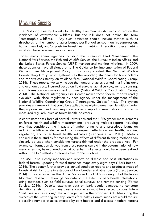## <span id="page-18-0"></span>**MEASURING SUCCESS**

The Restoring Healthy Forests for Healthy Communities Act aims to reduce the incidence of catastrophic wildfires, but the bill does not define the term "catastrophic wildfires." Any such definition should include metrics such as thresholds for the number of acres burned per fire, dollars spent on fire suppression, human lives lost, and/or post-fire forest health metrics. In addition, these metrics must also have baseline measurements.

Today, many federal agencies including the Bureau of Land Management, the National Park Service, the Fish and Wildlife Service, the Bureau of Indian Affairs, and the United States Forest Service (USFS) manage and monitor wildfires. In 2009, these agencies have all signed onto The Guidance for Implementation of Federal Wildland Fire Management Policy. This policy created the National Wildfire Coordinating Group which systematizes the reporting standards for fire incidents and reports consistently on wildland fires (National Wildfire Coordinating Group, 2014). These reports typically include the number of acres burned in a fire incident and economic costs incurred based on field surveys, aerial surveys, remote sensing, and information on money spent on fires (National Wildfire Coordinating Group, 2014). The National Interagency Fire Center makes these federal reports readily available, with close regulation by each agency under the management of the National Wildfire Coordinating Group ("Interagency Guides," n.d.). This system provides a framework that could be applied to newly-implemented definitions under the proposed Act, and could require agencies to report on new metrics not currently measured regularly, such as forest health indicators.

A coordinated task force of several universities and the USFS gather measurements on forest health and wildfire measurements, producing multiple reports including one that considered the impacts of timber thinning and prescribed burns on reducing wildfire incidence and the consequent effects on soil health, wildfire, vegetation, and other forest health indicators (Stephens et al., 2012). Metrics applied in these studies for measuring the effects of different thinning methods can similarly be used when considering forests thinned under the proposed Act. For example, information derived from these reports can aid in the determination of how many acres may have burned or what other harmful effects would have been realized without the bill's efforts to reduce catastrophic wildfires.

The USFS also closely monitors and reports on disease and pest infestations in federal forests, updating forest disturbance maps every eight days ("Bark Beetle," 2014). The agency further provides annual condition reports and produces maps of forests at risk for future infestations of bark beetles and other pests (Forest Service, 2014). Universities across the United States and the USFS, working out of the Rocky Mountain Research Station, gather data on the extent of bark beetle infestations, using methods such as field surveys, aerial surveys, and remote sensing (Forest Service, 2014). Despite extensive data on bark beetle damage, no concrete definition exists for how many trees and/or acres must be affected to constitute a "bark beetle infestations," the language used in the proposed Act. Measuring the success of the Restoring Healthy Forests for Healthy Communities Act would require a baseline number of acres affected by bark beetles and diseases in federal forests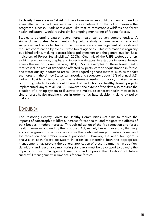<span id="page-19-0"></span>to classify these areas as "at risk." These baseline values could then be compared to acres affected by bark beetles after the establishment of the bill to measure the program's success. Bark beetle data, like that of catastrophic wildfires and forest health indicators, would require similar ongoing monitoring of federal forests.

Studies to determine data on overall forest health can be very comprehensive. A single United States Department of Agriculture study outlines seven criteria and sixty-seven indicators for tracking the conservation and management of forests and requires coordination by over 20 state forest agencies. This information is regularly published online, making it accessible to policy makers and the general public ("Base Indicators of Forest Sustainability," 2003). One link of the USFS webpage offers eight interactive maps, graphs, and tables tracking pest infestations in federal forests across the nation (Forest Service, 2014). Some examples of these forest health metrics include area of timberland affected by pests, carbon sequestration in forest, and water quality in forested areas. Data regarding these metrics, such as the fact that forests in the United States can absorb and sequester about 16% of annual U.S. carbon dioxide emissions, can be extremely useful for policy makers when prioritizing which forests should have fuel reduction or healthy forest projects implemented (Joyce et al., 2014). However, the extent of the data also requires the creation of a rating system to illustrate the multitude of forest health metrics in a single forest health grading sheet in order to facilitate decision making by policy makers.

### **CONCLUSION**

The Restoring Healthy Forest for Healthy Communities Act aims to reduce the impacts of catastrophic wildfires, increase forest health, and mitigate the effects of bark beetles in federal forests. Through utilization of the fire reduction and forest health measures outlined by the proposed Act, namely timber harvesting, thinning, and cattle grazing, governors can ensure the continued usage of federal forestland for recreation and timber revenue purposes. However, the need for rigorous analysis of each forest ecosystem in order to determine both the appropriate management may prevent the general application of these treatments. In addition, definitions and reasonable monitoring standards must be developed to quantify the impacts of forest management methods and improve the likelihood of future successful management in America's federal forests.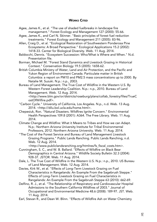#### **WORKS CITED**

- <span id="page-20-0"></span>Agee, James K., et al. "The use of shaded fuelbreaks in landscape fire management." Forest Ecology and Management 127 (2000): 55-66.
- Agee, James K., and Carl N. Skinner. "Basic principles of forest fuel reduction treatments." Forest Ecology and Management 211 (2005): 83-96.
- Allen, Craig D., et al. "Ecological Restoration of Southwestern Ponderosa Pine Ecosystems: A Broad Perspective." Ecological Applications 15.2 (2002): 1418-33. Center for Biological Diversity. Web. 11 Aug. 2014.
- Baldocchi, Dennis. "Ecosystem Succession: Who/What is Where and When." N.d. Presentation file.
- Borman, Michael M. "Forest Stand Dynamics and Livestock Grazing in Historical Context." Conservation Biology 19.5 (2005): 1658-62.
- British Columbia Ministry of Water, Land and Air Protection, and the Pacific and Yukon Region of Environment Canada. Particulate matter in British Columbia: a report on PM10 and PM2.5 mass concentrations up to 2000. By Natalie M. Suzuki. N.p.: n.p., 2003.
- Bureau of Land Management. The True Cost of Wildfire in the Western U.S. By Western Forest Leadership Coalition. N.p.: n.p., 2010. Bureau of Land Management. Web. 12 Aug. 2014. <http://www.blm.gov/or/districts/roseburg/plans/collab\_forestry/files/TrueC
	- ostOfWilfire.pdf>.
- "Carbon Cycle." University of California, Los Angeles. N.p., n.d. Web. 13 Aug. 2014. <http://dilu.bol.ucla.edu/home.html>.
- Chepesiuk, Ron. "Natural Disasters. Wildfires Ignite Concern." Environmental Health Perspectives 109.8 (2001): A364. The Free Library. Web. 11 Aug. 2014.
- Climate Change and Wildfire: What it Means to Tribes and How we can Adapt. N.p.: Northern Arizona University Institute for Tribal Environmental Professors, 2012. Northern Arizona University. Web. 11 Aug. 2014.
- "The Cost of the Forest Service and Bureau of Land Management Livestock Grazing Programs." Public Lands Ranching. Public Lands Ranching, n.d. Web. 12 Aug. 2014.
	- <http://www.publiclandsranching.org/htmlres/fs\_fiscal\_costs.htm>.
- Cunningham, S. C., and W. B. Ballard. "Effects of Wildfire on Black Bear Demographics in Central Arizona." Wildlife Society Bulletin 32.3 (2004): 928-37. JSTOR. Web. 11 Aug. 2014.
- Dale, L. The True Cost of Wildfire in the Western U.S. N.p.: n.p., 2010. US Bureau of Land Management. Web. 12 Aug. 2014.
- Davies, Kirk W., et al. "Effects of Long-Term Livestock Grazing on Fuel Characteristics in Rangelands: An Example From the Sagebrush Steppe." Effects of Long-Term Livestock Grazing on Fuel Characteristics in Rangelands: An Example From the Sagebrush Steppe 63 (2010): 662-69.
- Delfino, R. J., et al. "The Relationship of Respiratory and Cardiovascular Hospital Admissions to the Southern California Wildfires of 2003." Journal of Occupational and Environmental Medicine 48.6 (2008): 189-97. JST. Web. 11 Aug. 2014.
- Earl, Stevan R., and Dean W. Blinn. "Effects of Wildfire Ash on Water Chemistry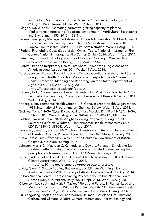and Biota in South-Western U.S.A. Streams." Freshwater Biology 48.6 (2003): 1015-30. ResearchGate. Web. 11 Aug. 2014.

- Evlagon, David, et al. "Estimating normative grazing capacity of planted Mediterranean forests in a fire-prone environment." Agriculture, Ecosystems and Environment 155 (2012): 133-41.
- Federal Emergency Management Agency. US Fire Administration. Wildland Fires: A Historical Perspecitve. Rept. no. 3. N.p.: US Fire Administration, 2001. Topical Fire Research Series 1. US Fire Administration. Web. 11 Aug. 2014.
- "Federal Firefighting Costs (Suppression Only)." Table. National Interagency Fire Center. National Interagency Fire Center, 24 July 2014. Web. 11 Aug. 2014.
- Fleischner, Thomas L. "Ecological Costs of Livestock Grazing in Western North America." Conservation Biology 8.3 (1994): 629-44.
- "Forest Fires and Respiratory Health Fact Sheet." American Lung Association. American Lung Association, 2014. Web. 11 Aug. 2014.
- Forest Service. "Explore Forest Insect and Disease Conditions in the United States using Forest Health Protection Mapping and Reporting Tools." Forest Health Protection: Mapping and Reporting. United States Department of Agriculture, 2014. Web. 12 Aug. 2014. <http://foresthealth.fs.usda.gov/portal>.
- Fretwell, Holly. "Forest Service Timber Harvests: Not What They Used to Be." The Percolator the Perc Blog. Property and Environment Reserach Center, 2014. Web. 11 Aug. 2014.
- Friberg, L. Environmental Health Criteria 118. Geneva: World Health Organization, 1991. International Programme on Chemical Safety. Web. 13 Aug. 2014.
- Greicius, Tony. "NASA 'Eyes' Dissect California's Massive Rim Fire." NASA. NASA, 27 Aug. 2013. Web. 13 Aug. 2014. NASA/GSFC/LaRC/JPL, MISR Team.

Holstius, David M., et al. "Birth Weight following Pregnancy during the 2003 Southern California Wildfires." Environmental Health Perspectives 12.9 (2012): 1340-45. JSTOR. Web. 11 Aug. 2014.

Hoorman, James J., and Jeff McCutcheon. Livestock and Streams: Negative Effects of Livestock Grazing Riparian Areas. N.p.: The Ohio State University, 2005.

"How Forest Fires Affect Air Quality." British Columbia. Government of British Columbia, n.d. Web. 12 Aug. 2014.

Johnson, Morris C., Maureen C. Kennedy, and David L. Peterson. Simulating fuel treatment effects in dry forests of the western United States: testing the principles of a fire-safe forest. N.p.: NRD Research Press, 2011.

Joyce, Linda A., et al. Forests. N.p.: National Climate Assessment, 2014. National Climate Assessment. Web. 12 Aug. 2014.

<http://nca2014.globalchange.gov/report/sectors/forests>.

- Juday, Glenn P. Spruce Beetles, Budworms, and Climate Warming. N.p.: U of Alaska Fairbanks, 1998. University of Alaska Fairbanks. Web. 12 Aug. 2014.
- Kaibab National Forest. "Forest Thinning Project in the Kaibab National Forest." Arizona Daily Sun. Arizona Daily Sun, 11 Apr. 2013. Web. 13 Aug. 2014.
- Kristensen, Louise J., and Mark P. Taylor. "Fields and Forests in Flames: Lead and Mercury Emissions from Wildfire Pyrogenic Activity." Environmental Health Perspectives 120.2 (2012): A56-57. ResearchGate. Web. 11 Aug. 2014.
- Liu, Yongqiang, Scott Goodrick, and Warren Heilman. "Wildland Fire Emissions, Carbon, and Climate: Wildfire-Climate Interactions." Forest Ecology and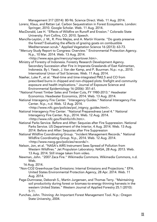Management 317 (2014): 80-96. Science Direct. Web. 11 Aug. 2014.

- Lorenz, Klaus, and Rattan Lal. Carbon Sequestration in Forest Ecosystems. London: Springer, 2010. Google Scholar. Web. 11 Aug. 2014.
- MacDonald, Lee H. "Effects of Wildfire on Runoff and Erosion." Colorado State University. Fort Collins, CO. 2010. Speech.
- Mancilla-Leytón, J. M., R. Pino Mejías, and A. Martín Vicente. "Do goats preserve the forest? Evaluating the effects of grazing goats on combustible Mediterranean scrub." Applied Vegetation Science 16 (2013): 63-73.
- "Mercury Study Report to Congress: Overview." Environmental Protection Agency. N.p., 10 Mar. 2014. Web. 13 Aug. 2014.
	- <http://www.epa.gov/mercury/reportover.htm>.
- Ministry of Forestry of Indonesia. Forestry Research Development Agency. Secondary Succession after Fire in Imperata Grasslands of East Kalimantan, Indonesia. By I. Yassir, J. Van der Kamp, and P. Buurman. N.p.: n.p., 2010. International Union of Soil Sciences. Web. 11 Aug. 2014.
- Naeher, Luke P., et al. "Real-time and time-integrated PM2.5 and CO from prescribed burns in chipped and non-chipped plots: firefight and community exposure and health implications." Journal of Exposure Science and Environmental Epidemiology 16 (2006): 351-61.
- "National Forest Timber Sales and Timber Cuts, FY 1980-2013." Headwater Economics. Headwater Economics, 2014. Web. 13 Aug. 2014.
- National Interagency Fire Center. "Interagency Guides." National Interagency Fire Center. N.p., n.d. Web. 12 Aug. 2014.

<http://www.nifc.gov/policies/pol\_intgncy\_guides.html>.

- National Interagency Fire Center. "National Preparedness Level 4." National Interagency Fire Center. N.p., 2014. Web. 12 Aug. 2014. <http://www.nifc.gov/fireInfo/nfn.htm>.
- National Parks Service. Before and After: Sequoias after Fire Suppression. National Parks Service. US Department of the Interior, 4 Aug. 2014. Web. 13 Aug. 2014. Before and After: Sequoias after Fire Suppression
- National Wildfire Coordinating Group. "Incident Management Records." National Wildfire Coordinating Group. N.p., 2014. Web. 12 Aug. 2014. <http://www.nwcg.gov/policies/records/>.
- Nelson, Jon, et al. "NASA's AIRS Instrument Sees Spread of Pollution from Western Wildfires." Jet Propulsion Laboratory. NASA, 28 Aug. 2013. Web. 13 Aug. 2014. Still image taken from video.
- Newman, John. "2007 Zaca Fire." Wikimedia Commons. Wikimedia Commons, n.d. Web.

16 Aug. 2014.

- "Non-CO2 Greenhouse Gas Emissions: Internal Emissions and Projections." EPA. United States Environmental Protection Agency, 28 Apr. 2014. Web. 11 Aug. 2014.
- Page-Dumroese, Deborah S., Martin Jurgensen, and Thomas Terry. "Maintaining soil productivity during forest or biomass-to-energy thinning harvests in the western United States." Western Journal of Applied Forestry 25.1 (2010): 5-11.
- Punches, John. Thinning: An Important Forest Management Tool. N.p.: Oregon State University, 2004.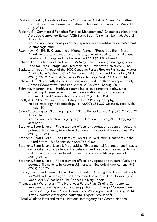- Restoring Healthy Forests for Healthy Communities Act (H.R. 1526). Committee on Natural Resources. House Committee on Natural Resources, n.d. Web. 11 Aug. 2014.
- Riekark, G. "Commercial Fisheries: Fisheries Management." Characterization of the Ashepoo-Combahee-Edisto (ACE) Basin, South Carolina. N.p., n.d. Web. 21 July 2014.

<http://www.nerrs.noaa.gov/doc/siteprofile/acebasin/html/resource/commfi sh/cfmanage.htm>.

- Ryan, Kevin C., Eric E. Knapp, and J. Morgan Varner. "Prescribed fire in North American forests and woodlands: history, current practice, and challenges." Frontiers in Ecology and the Environment 11.1 (2013): e15-e24.
- Salmon, Olivia, Chad Reid, and Darren McAvoy. Forest Grazing: Managing Your Land for Trees, Forage, and Livestock. N.p.: Utah State University, 2012.
- Sapkota, A., et al. "Impact of the 2002 Canadian Forest Fires on Particulate Matter Air Quality in Baltimore City." Environmental Science and Technology 39.1 (2005): 24-32. National Center for Biotechnology. Web. 11 Aug. 2014.
- Schalau, Jeff. "Frequently Asked Questions about Bark Beetles." Yavapai County. Arizona Cooperative Extension, 2 Mar. 2003. Web. 12 Aug. 2014.

Schrama, Maarten, et al. "Herbivore trampling as an alternative pathway for explaining differences in nitrogen mineralization in moist grasslands." Community and Conservation Ecology 172 (2013): 231-43.

Scott, A. C. "The Pre-Quaternary History of Fire." Paleogeography, Paleoclimatology, Palaeoecology 164 (2000): 281-329. ScienceDirect. Web. 11 Aug. 2014.

Sierra Forest Legacy. "Logging Impacts." Sierra Forest Legacy. N.p., 2012. Web. 22 July 2014.

<http://www.sierraforestlegacy.org/FC\_FireForestEcology/FFE\_LoggingImp acts.php>.

- Stephens, Scott L., et al. "Fire treatment effects on vegetation structure, fuels, and potential fire severity in western U.S. forests." Ecological Applications 19.2 (2009): 305-20.
- Stephens, Scott L., et al. "The Effects of Forest Fuel-Reduction Treatments in the United States." BioScience 62.6 (2012): 549-60.
- Stephens, Scott L., and Jason J. Moghaddas. "Experimental fuel treatment impacts on forest structure, potential fire behavior, and predicted tree mortality in a California mixed conifer forest." Forest Ecology and Management 215 (2005): 21-36.
- Stephens, Scott L., et al. "Fire treatment effects on vegetation structure, fuels, and potential fire severity in western U.S. forests." Ecological Applications 19.2 (2009): 305-20.
- Strand, Eva K., and Karen L. Launchbaugh. Livestock Grazing Effects on Fuel Loads for Wildland Fire in Sagebrush Dominated Ecosystems. N.p.: University of Idaho, 2013. Great Basin Fire Science Delivery Report.
- Thomas, Jack Ward, et al. "The Northwest Forest Plan: Origins, Components, Implementation Experience, and Suggestions for Change." Conservation Biology 20.2 (2006): 277-87. University of Washington. Web. 12 Aug. 2014. <http://courses.washington.edu/esrm315/pdfs/NWFP.pdf>.
- "Total Wildland Fires and Acres." National Interagency Fire Center. National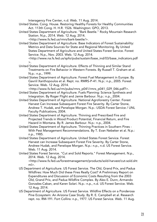Interagency Fire Center, n.d. Web. 11 Aug. 2014.

- United States. Cong. House. Restoring Healthy Forests for Healthy Communities Act. 113th Cong. H. H.R. 1526. Washington: GPO, 2013.
- United States Department of Agriculture. "Bark Beetle." Rocky Mountain Research Station. N.p., 2014. Web. 12 Aug. 2014.
	- <http://www.fs.fed.us/rmrs/bark-beetle/>.
- United States Department of Agriculture. Base Indicators of Forest Sustainability: Metrics and Data Sources for State and Regional Monitoring. By United States Department of Agriculture and United States Forest Service. Forest Service. N.p., Nov. 2003. Web. 12 Aug. 2014.

<http://www.na.fs.fed.us/spfo/pubs/sustain/base\_ind/03/base\_indicators.pdf  $>$ .

- United States Department of Agriculture. Effects of Thinning and Similar Stand Treatments on Fire Behavior in Western Forests. By Russell T. Graham et al. N.p.: n.p., 1999.
- United States Department of Agriculture. Forest Fuel Management in Europe. By Gavriil Xanthopoulos et al. Rept. no. RMRS-P-41. N.p.: n.p., 2005. Forest Service. Web. 12 Aug. 2014.

<http://www.fs.fed.us/rm/pubs/rmrs\_p041/rmrs\_p041\_029\_046.pdf?>.

- United States Department of Agriculture. Fuels Planning: Science Synthesis and Integration. By Roger Flight and Jamie Barbour. N.p.: n.p., 2004.
- United States Department of Agriculture. National Agroforestry Center. Forest Harvest Can Increase Subsequent Forest Fire Severity. By Carter Stone, Andrew T. Hudak, and Penelope Morgan. N.p.: USDA Forest Service / UNL Faculty Publications, 2004.
- United States Department of Agriculture. Thinning and Prescribed Fire and Projected Trends in Wood Product Potential, Financial Return, and Fire Hazard in Montana. By R. James Barbour. N.p.: n.p., 2004.
- United States Department of Agriculture. Thinning Practices in Southern Pines With Pest Management Recommendations. By T. Evan Nebeker et al. N.p.: n.p., 1985.
- United States Department of Agriculture. United States Forest Service. Forest Harvest can Increase Subsequent Forest Fire Severity. By Carter Stone, Andrew Hudak, and Penelope Morgan. N.p.: n.p., n.d. US Forest Service. Web. 11 Aug. 2014.
- United States Forest Service. "Cut and Sold Reports." Forest Management. N.p., 2014. Web. 12 Aug. 2014. <http://www.fs.fed.us/forestmanagement/products/sold-harvest/cut-sold.sht

 $ml$  $>$ .

- US Department of Agriculture. US Forest Service. The Old, Grand Prix, and Padua Wildfires: How Much Did these Fires Really Cost? A Preliminary Report on Expenditures and Discussion of Economic Costs Resulting from the 2003 Old, Grand Prix, and Padua Wildfire Complex. By Alex E. Dunn, Armando Gonzales-Caban, and Karen Solari. N.p.: n.p., n.d. US Forest Service. Web. 12 Aug. 2014.
- US Department of Agriculture. US Forest Service. Wildfire Effects on a Ponderosa Pine Ecosystem: An Arizona Case Study. By R. E. Campbell et al. Research rept. no. RM-191. Fort Collins: n.p., 1977. US Forest Service. Web. 11 Aug.